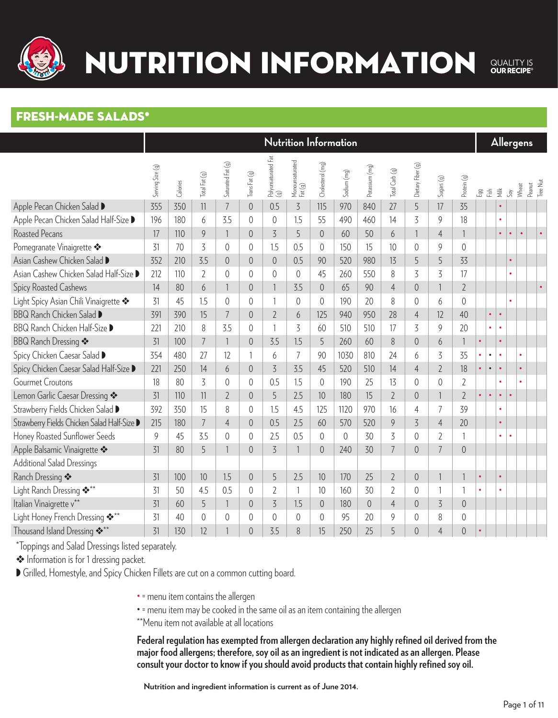

### NUTRITION INFORMATION

QUALITY IS<br> **OUR RECIPE®** 

#### Fresh-Made salads\*

|                                             |                  |          |                |                          |                |                            |                            |                  | Nutrition Information |                |                |                   |                |                |           |           |               |               | Allergens       |                 |
|---------------------------------------------|------------------|----------|----------------|--------------------------|----------------|----------------------------|----------------------------|------------------|-----------------------|----------------|----------------|-------------------|----------------|----------------|-----------|-----------|---------------|---------------|-----------------|-----------------|
|                                             | Serving Size (g) | Calories | Total Fat (g)  | Saturated Fat (g)        | Trans Fat (g)  | Polyunsaturated Fat<br>(g) | Monounsaturated<br>Fat (g) | Cholesterol (mg) | Sodium (mg)           | Potassium (mg) | Total Carb (g) | Dietary Fiber (g) | Sugars(g)      | Protein (g)    | 品 适       |           | $\frac{1}{2}$ | $\mathcal{S}$ | Peanut<br>Wheat | <b>Tree Nut</b> |
| Apple Pecan Chicken Salad D                 | 355              | 350      | 11             | $\overline{7}$           | $\overline{0}$ | 0.5                        | $\overline{5}$             | 115              | 970                   | 840            | 27             | 5                 | 17             | 35             |           |           |               |               |                 |                 |
| Apple Pecan Chicken Salad Half-Size D       | 196              | 180      | 6              | 3.5                      | $\overline{0}$ | $\overline{0}$             | 1.5                        | 55               | 490                   | 460            | 14             | $\overline{5}$    | 9              | 18             |           |           | $\bullet$     |               |                 |                 |
| <b>Roasted Pecans</b>                       | 17               | 110      | 9              | $\mathbf{1}$             | $\overline{0}$ | 3                          | 5                          | $\overline{0}$   | 60                    | 50             | 6              | 1                 | $\overline{4}$ | $\mathbf{1}$   |           |           | $\bullet$     | $\bullet$     | $\bullet$       |                 |
| Pomegranate Vinaigrette <>                  | 31               | 70       | 3              | $\overline{0}$           | $\overline{0}$ | 1.5                        | 0.5                        | $\overline{0}$   | 150                   | 15             | 10             | $\overline{0}$    | 9              | $\overline{0}$ |           |           |               |               |                 |                 |
| Asian Cashew Chicken Salad D                | 352              | 210      | 3.5            | $\overline{0}$           | $\overline{0}$ | $\overline{0}$             | 0.5                        | 90               | 520                   | 980            | 13             | 5                 | 5              | 33             |           |           |               | $\bullet$     |                 |                 |
| Asian Cashew Chicken Salad Half-Size D      | 212              | 110      | $\overline{2}$ | $\overline{0}$           | $\overline{0}$ | $\overline{0}$             | $\overline{0}$             | 45               | 260                   | 550            | 8              | 3                 | 3              | 17             |           |           |               |               |                 |                 |
| <b>Spicy Roasted Cashews</b>                | 14               | 80       | 6              | $\mathbf{1}$             | $\overline{0}$ |                            | 3.5                        | $\overline{0}$   | 65                    | 90             | $\overline{4}$ | $\overline{0}$    |                | $\overline{2}$ |           |           |               |               |                 |                 |
| Light Spicy Asian Chili Vinaigrette         | 31               | 45       | 1.5            | $\overline{0}$           | $\overline{0}$ | $\overline{1}$             | $\overline{0}$             | 0                | 190                   | 20             | 8              | $\overline{0}$    | 6              | $\overline{0}$ |           |           |               |               |                 |                 |
| BBQ Ranch Chicken Salad D                   | 391              | 390      | 15             | $\overline{7}$           | $\overline{0}$ | $\overline{2}$             | 6                          | 125              | 940                   | 950            | 28             | $\overline{4}$    | 12             | 40             |           | $\bullet$ | $\bullet$     |               |                 |                 |
| BBQ Ranch Chicken Half-Size D               | 221              | 210      | 8              | 3.5                      | $\overline{0}$ | $\mathbf{1}$               | 3                          | 60               | 510                   | 510            | 17             | 3                 | 9              | 20             |           |           |               |               |                 |                 |
| <b>BBQ Ranch Dressing *</b>                 | 31               | 100      | $\overline{7}$ | $\overline{\phantom{a}}$ | $\overline{0}$ | 3.5                        | 1.5                        | 5                | 260                   | 60             | 8              | $\overline{0}$    | 6              | $\mathbf{1}$   | $\bullet$ |           | $\bullet$     |               |                 |                 |
| Spicy Chicken Caesar Salad D                | 354              | 480      | 27             | 12                       | 1              | 6                          | $\overline{7}$             | 90               | 1030                  | 810            | 24             | 6                 | 3              | 35             | $\bullet$ | $\bullet$ | $\bullet$     |               |                 |                 |
| Spicy Chicken Caesar Salad Half-Size D      | 221              | 250      | 14             | 6                        | $\overline{0}$ | $\overline{3}$             | 3.5                        | 45               | 520                   | 510            | 14             | $\overline{4}$    | $\overline{2}$ | 18             | $\bullet$ | $\bullet$ | $\bullet$     |               | $\bullet$       |                 |
| <b>Gourmet Croutons</b>                     | 18               | 80       | $\overline{5}$ | $\sqrt{a}$               | $\overline{0}$ | 0.5                        | 1.5                        | $\overline{0}$   | 190                   | 25             | 13             | $\overline{0}$    | $\overline{0}$ | $\overline{2}$ |           |           |               |               |                 |                 |
| Lemon Garlic Caesar Dressing *              | 31               | 110      | 11             | $\overline{2}$           | $\overline{0}$ | 5                          | 2.5                        | 10               | 180                   | 15             | $\overline{2}$ | $\overline{0}$    |                | $\overline{2}$ | $\bullet$ | $\bullet$ | $\bullet$     |               |                 |                 |
| Strawberry Fields Chicken Salad D           | 392              | 350      | 15             | 8                        | $\sqrt{0}$     | 1.5                        | 4.5                        | 125              | 1120                  | 970            | 16             | $\overline{4}$    | $\overline{7}$ | 39             |           |           | $\bullet$     |               |                 |                 |
| Strawberry Fields Chicken Salad Half-Size D | 215              | 180      | $\overline{7}$ | $\overline{4}$           | $\overline{0}$ | 0.5                        | 2.5                        | 60               | 570                   | 520            | 9              | 3                 | $\overline{4}$ | 20             |           |           | $\bullet$     |               |                 |                 |
| Honey Roasted Sunflower Seeds               | 9                | 45       | 3.5            | $\sqrt{a}$               | $\overline{0}$ | 2.5                        | 0.5                        | $\overline{0}$   | $\overline{0}$        | 30             | $\overline{3}$ | $\overline{0}$    | $\overline{2}$ | $\mathbf{1}$   |           |           | $\bullet$     |               |                 |                 |
| Apple Balsamic Vinaigrette                  | 31               | 80       | 5              | $\mathbf{1}$             | $\overline{0}$ | 3                          | 1                          | $\overline{0}$   | 240                   | 30             | $\overline{7}$ | $\overline{0}$    | $\overline{7}$ | $\overline{0}$ |           |           |               |               |                 |                 |
| <b>Additional Salad Dressings</b>           |                  |          |                |                          |                |                            |                            |                  |                       |                |                |                   |                |                |           |           |               |               |                 |                 |
| Ranch Dressing *                            | 31               | 100      | 10             | 1.5                      | $\overline{0}$ | 5                          | 2.5                        | 10               | 170                   | 25             | $\overline{2}$ | $\overline{0}$    |                | $\overline{1}$ | $\bullet$ |           | $\bullet$     |               |                 |                 |
| Light Ranch Dressing ***                    | 31               | 50       | 4.5            | 0.5                      | $\overline{0}$ | $\overline{2}$             | 1                          | 10               | 160                   | 30             | $\overline{2}$ | $\overline{0}$    |                | 1              |           |           |               |               |                 |                 |
| Italian Vinaigrette v <sup>**</sup>         | 31               | 60       | 5              | $\mathbf{1}$             | $\overline{0}$ | 3                          | 1.5                        | $\overline{0}$   | 180                   | $\sqrt{a}$     | $\overline{4}$ | $\overline{0}$    | $\overline{5}$ | $\overline{0}$ |           |           |               |               |                 |                 |
| Light Honey French Dressing ***             | 31               | 40       | $\overline{0}$ | 0                        | 0              | $\sqrt{0}$                 | 0                          | $\sqrt{0}$       | 95                    | 20             | 9              | $\overline{0}$    | 8              | 0              |           |           |               |               |                 |                 |
| Thousand Island Dressing ***                | 31               | 130      | 12             |                          | $\overline{0}$ | 3.5                        | 8                          | 15               | 250                   | 25             | 5              | $\overline{0}$    | $\overline{4}$ | $\overline{0}$ |           |           |               |               |                 |                 |

\*Toppings and Salad Dressings listed separately.

• Information is for 1 dressing packet.

Grilled, Homestyle, and Spicy Chicken Fillets are cut on a common cutting board.

• = menu item contains the allergen

• = menu item may be cooked in the same oil as an item containing the allergen

\*\*Menu item not available at all locations

**Federal regulation has exempted from allergen declaration any highly refined oil derived from the major food allergens; therefore, soy oil as an ingredient is not indicated as an allergen. Please consult your doctor to know if you should avoid products that contain highly refined soy oil.**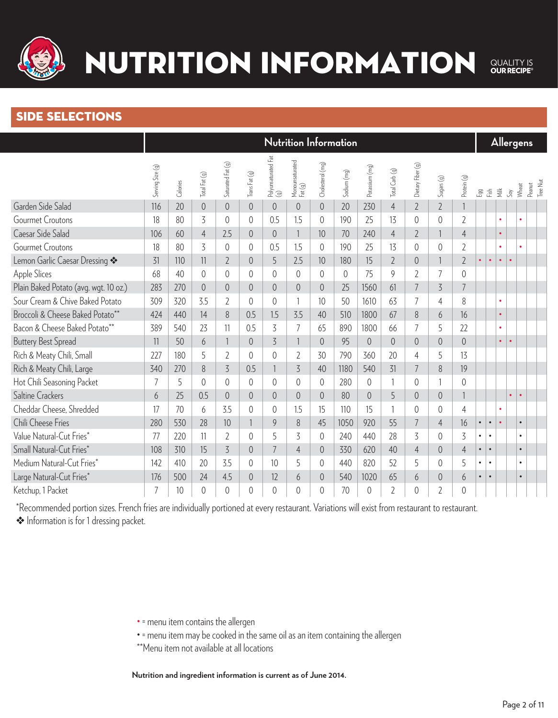

#### side selections

|                                       |                  |          |                |                   |                |                            |                            |                  | Nutrition Information |                |                |                   |                 |                |           |           |           |               | <b>Allergens</b>            |  |
|---------------------------------------|------------------|----------|----------------|-------------------|----------------|----------------------------|----------------------------|------------------|-----------------------|----------------|----------------|-------------------|-----------------|----------------|-----------|-----------|-----------|---------------|-----------------------------|--|
|                                       | Serving Size (g) | Calories | Total Fat (g)  | Saturated Fat (g) | Trans Fat (g)  | Polyunsaturated Fat<br>(g) | Monounsaturated<br>Fat (g) | Cholesterol (mg) | Sodium (mg)           | Potassium (mg) | Total Carb (g) | Dietary Fiber (g) | $S$ ugars $(g)$ | Protein (g)    | 品 语       |           | 薹         | $\mathcal{S}$ | Tree Nut<br>Peanut<br>Wheat |  |
| Garden Side Salad                     | 116              | 20       | $\sqrt{a}$     | $\overline{0}$    | $\overline{0}$ | $\overline{0}$             | $\overline{0}$             | $\overline{0}$   | 20                    | 230            | $\overline{4}$ | $\overline{2}$    | $\overline{2}$  |                |           |           |           |               |                             |  |
| <b>Gourmet Croutons</b>               | 18               | 80       | 3              | 0                 | $\overline{0}$ | 0.5                        | 1.5                        | $\overline{0}$   | 190                   | 25             | 13             | $\overline{0}$    | 0               | $\overline{2}$ |           |           | $\bullet$ |               |                             |  |
| Caesar Side Salad                     | 106              | 60       | $\overline{4}$ | 2.5               | $\overline{0}$ | $\overline{0}$             |                            | 10               | 70                    | 240            | $\overline{4}$ | $\overline{2}$    |                 | $\overline{4}$ |           |           | $\bullet$ |               |                             |  |
| <b>Gourmet Croutons</b>               | 18               | 80       | 3              | 0                 | $\overline{0}$ | 0.5                        | 1.5                        | $\overline{0}$   | 190                   | 25             | 13             | $\overline{0}$    | 0               | $\overline{2}$ |           |           | $\bullet$ |               |                             |  |
| Lemon Garlic Caesar Dressing *        | 31               | 110      | 11             | $\overline{2}$    | $\overline{0}$ | 5                          | 2.5                        | 10               | 180                   | 15             | $\overline{2}$ | $\overline{0}$    |                 | $\overline{2}$ | $\bullet$ | $\bullet$ | $\bullet$ | $\bullet$     |                             |  |
| Apple Slices                          | 68               | 40       | $\overline{0}$ | 0                 | $\overline{0}$ | $\overline{0}$             | 0                          | $\overline{0}$   | $\sqrt{0}$            | 75             | 9              | $\overline{2}$    | 7               | $\overline{0}$ |           |           |           |               |                             |  |
| Plain Baked Potato (avg. wgt. 10 oz.) | 283              | 270      | $\overline{0}$ | $\overline{0}$    | $\overline{0}$ | $\overline{0}$             | 0                          | 0                | 25                    | 1560           | 61             | $\overline{7}$    | $\overline{5}$  | $\overline{7}$ |           |           |           |               |                             |  |
| Sour Cream & Chive Baked Potato       | 309              | 320      | 3.5            | $\overline{2}$    | $\overline{0}$ | $\sqrt{a}$                 |                            | 10               | 50                    | 1610           | 63             | 7                 | $\overline{4}$  | 8              |           |           | $\bullet$ |               |                             |  |
| Broccoli & Cheese Baked Potato**      | 424              | 440      | 14             | 8                 | 0.5            | 1.5                        | 3.5                        | 40               | 510                   | 1800           | 67             | 8                 | 6               | 16             |           |           | $\bullet$ |               |                             |  |
| Bacon & Cheese Baked Potato**         | 389              | 540      | 23             | 11                | 0.5            | 3                          | 7                          | 65               | 890                   | 1800           | 66             | 7                 | 5               | 22             |           |           | $\bullet$ |               |                             |  |
| <b>Buttery Best Spread</b>            | 11               | 50       | 6              |                   | $\overline{0}$ | 3                          |                            | $\overline{0}$   | 95                    | $\overline{0}$ | $\overline{0}$ | $\overline{0}$    | $\overline{0}$  | $\overline{0}$ |           |           | $\bullet$ | $\bullet$     |                             |  |
| Rich & Meaty Chili, Small             | 227              | 180      | 5              | $\overline{2}$    | $\theta$       | $\overline{0}$             | $\overline{2}$             | 30               | 790                   | 360            | 20             | $\overline{4}$    | 5               | 13             |           |           |           |               |                             |  |
| Rich & Meaty Chili, Large             | 340              | 270      | 8              | $\overline{5}$    | 0.5            |                            | $\overline{5}$             | 40               | 1180                  | 540            | 31             | 7                 | 8               | 19             |           |           |           |               |                             |  |
| Hot Chili Seasoning Packet            | $\overline{7}$   | 5        | $\overline{0}$ | 0                 | $\theta$       | $\overline{0}$             | 0                          | $\overline{0}$   | 280                   | $\overline{0}$ | 1              | $\overline{0}$    |                 | $\overline{0}$ |           |           |           |               |                             |  |
| Saltine Crackers                      | 6                | 25       | 0.5            | $\overline{0}$    | $\overline{0}$ | $\overline{0}$             | $\overline{0}$             | $\overline{0}$   | 80                    | $\overline{0}$ | 5              | $\overline{0}$    | $\overline{0}$  |                |           |           |           | $\bullet$     | $\bullet$                   |  |
| Cheddar Cheese, Shredded              | 17               | 70       | 6              | 3.5               | $\overline{0}$ | $\sqrt{a}$                 | 1.5                        | 15               | 110                   | 15             |                | $\overline{0}$    | $\overline{0}$  | $\overline{4}$ |           |           |           |               |                             |  |
| Chili Cheese Fries                    | 280              | 530      | 28             | 10                |                | 9                          | 8                          | 45               | 1050                  | 920            | 55             | $\overline{7}$    | $\overline{4}$  | 16             | $\bullet$ | $\bullet$ | $\bullet$ |               | $\bullet$                   |  |
| Value Natural-Cut Fries*              | 77               | 220      | 11             | $\overline{2}$    | $\overline{0}$ | 5                          | 3                          | $\overline{0}$   | 240                   | 440            | 28             | 3                 | 0               | $\overline{5}$ | $\bullet$ | $\bullet$ |           |               | $\bullet$                   |  |
| Small Natural-Cut Fries*              | 108              | 310      | 15             | $\overline{3}$    | 0              | $\overline{7}$             | $\overline{4}$             | $\overline{0}$   | 330                   | 620            | 40             | $\overline{4}$    | $\overline{0}$  | $\overline{4}$ | $\bullet$ | $\bullet$ |           |               | $\bullet$                   |  |
| Medium Natural-Cut Fries*             | 142              | 410      | 20             | 3.5               | 0              | 10                         | 5                          | $\overline{0}$   | 440                   | 820            | 52             | 5                 | 0               | 5              | $\bullet$ | $\bullet$ |           |               | $\bullet$                   |  |
| Large Natural-Cut Fries*              | 176              | 500      | 24             | 4.5               | $\overline{0}$ | 12                         | 6                          | $\overline{0}$   | 540                   | 1020           | 65             | 6                 | $\overline{0}$  | 6              | $\bullet$ | $\bullet$ |           |               | $\bullet$                   |  |
| Ketchup, 1 Packet                     | $\overline{7}$   | 10       | $\theta$       | $\overline{0}$    | 0              | $\overline{0}$             | 0                          | 0                | 70                    | $\overline{0}$ | $\overline{2}$ | $\overline{0}$    | $\overline{2}$  | $\overline{0}$ |           |           |           |               |                             |  |

\*Recommended portion sizes. French fries are individually portioned at every restaurant. Variations will exist from restaurant to restaurant. v Information is for 1 dressing packet.

- = menu item contains the allergen
- = menu item may be cooked in the same oil as an item containing the allergen
- \*\*Menu item not available at all locations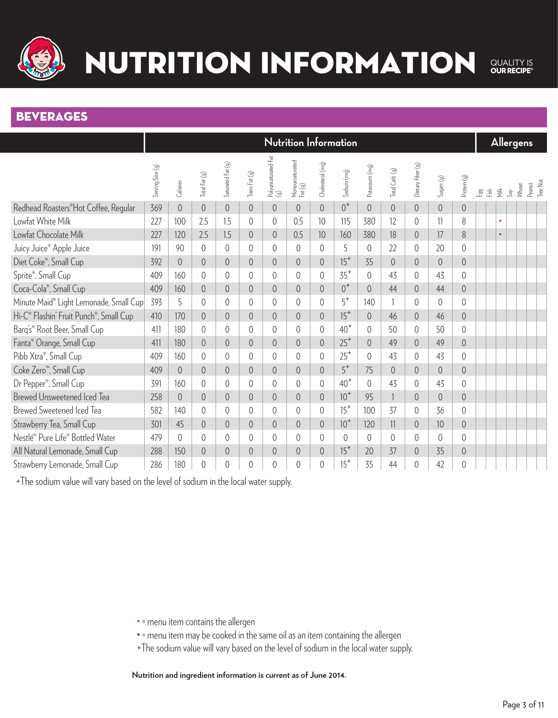

### NUTRITION INFORMATION QUALITY IS<br> **OUR RECIPE®**

#### **BEVERAGES**

|                                                                 |                  |                |                |                   |                                                          |                            |                            |                  | Nutrition Information |                |                |                   |                 |                |     |                                  |           | <b>Allergens</b> |                    |
|-----------------------------------------------------------------|------------------|----------------|----------------|-------------------|----------------------------------------------------------|----------------------------|----------------------------|------------------|-----------------------|----------------|----------------|-------------------|-----------------|----------------|-----|----------------------------------|-----------|------------------|--------------------|
|                                                                 | Serving Size (g) | Calories       | Total Fat (g)  | Saturated Fat (g) | $\mathsf{T}$ ans $\mathsf{Fat}\left(\mathfrak{g}\right)$ | Polyunsaturated Fat<br>(g) | Monounsaturated<br>Fat (g) | Cholesterol (mg) | Sodium (mg)           | Potassium (mg) | Total Carb (g) | Dietary Fiber (g) | $S$ ugars $(g)$ | Protein (g)    | Egg | $\frac{5}{120}$<br>$\frac{1}{2}$ | $S_{0}$   | Wheat            | Tree Nut<br>Peanut |
| Redhead Roasters®Hot Coffee, Reqular                            | 369              | $\overline{0}$ | $\overline{0}$ | $\sqrt{a}$        | $\overline{0}$                                           | $\overline{0}$             | $\overline{0}$             | $\sqrt{a}$       | $0^+$                 | $\overline{0}$ | $\overline{0}$ | $\overline{0}$    | $\sqrt{0}$      | $\overline{0}$ |     |                                  |           |                  |                    |
| Lowfat White Milk                                               | 227              | 100            | 2.5            | 1.5               | $\overline{0}$                                           | $\overline{0}$             | 0.5                        | 10               | 115                   | 380            | 12             | $\sqrt{0}$        | 11              | 8              |     |                                  | $\bullet$ |                  |                    |
| Lowfat Chocolate Milk                                           | 227              | 120            | 2.5            | 1.5               | $\overline{0}$                                           | $\overline{0}$             | 0.5                        | 10               | 160                   | 380            | 18             | $\overline{0}$    | 17              | 8              |     |                                  | $\bullet$ |                  |                    |
| Juicy Juice <sup>®</sup> Apple Juice                            | 191              | 90             | $\overline{0}$ | $\mathbf 0$       | $\overline{0}$                                           | $\overline{0}$             | $\sqrt{a}$                 | $\overline{0}$   | 5                     | $\sqrt{0}$     | 22             | $\overline{0}$    | 20              | $\overline{0}$ |     |                                  |           |                  |                    |
| Diet Coke®, Small Cup                                           | 392              | $\overline{0}$ | $\overline{0}$ | $\sqrt{a}$        | $\overline{0}$                                           | $\overline{0}$             | $\overline{0}$             | $\overline{0}$   | $15+$                 | 35             | $\overline{0}$ | $\overline{0}$    | $\overline{0}$  | $\overline{0}$ |     |                                  |           |                  |                    |
| Sprite®, Small Cup                                              | 409              | 160            | 0              | $\overline{0}$    | $\overline{0}$                                           | $\overline{0}$             | $\overline{0}$             | $\overline{0}$   | $35+$                 | $\overline{0}$ | 43             | $\overline{0}$    | 43              | $\overline{0}$ |     |                                  |           |                  |                    |
| Coca-Cola®, Small Cup                                           | 409              | 160            | $\overline{0}$ | $\sqrt{a}$        | $\overline{0}$                                           | $\overline{0}$             | $\overline{0}$             | $\overline{0}$   | $0^+$                 | $\overline{0}$ | 44             | $\overline{0}$    | 44              | $\overline{0}$ |     |                                  |           |                  |                    |
| Minute Maid® Light Lemonade, Small Cup                          | 393              | 5              | 0              | $\mathbf 0$       | $\overline{0}$                                           | 0                          | 0                          | $\overline{0}$   | $5^+$                 | 140            |                | $\overline{0}$    | 0               | $\overline{0}$ |     |                                  |           |                  |                    |
| Hi-C <sup>®</sup> Flashin' Fruit Punch <sup>®</sup> , Small Cup | 410              | 170            | $\overline{0}$ | $\sqrt{0}$        | $\overline{0}$                                           | $\theta$                   | $\mathbf 0$                | $\overline{0}$   | $15+$                 | $\overline{0}$ | 46             | $\sqrt{0}$        | 46              | $\overline{0}$ |     |                                  |           |                  |                    |
| Barg's <sup>®</sup> Root Beer, Small Cup                        | 411              | 180            | 0              | $\sqrt{a}$        | 0                                                        | 0                          | 0                          | $\overline{0}$   | $40+$                 | 0              | 50             | $\overline{0}$    | 50              | $\overline{0}$ |     |                                  |           |                  |                    |
| Fanta <sup>®</sup> Orange, Small Cup                            | 411              | 180            | $\overline{0}$ | $\sqrt{a}$        | $\overline{0}$                                           | $\sqrt{0}$                 | $\boldsymbol{0}$           | $\overline{0}$   | $25^+$                | $\overline{0}$ | 49             | $\overline{0}$    | 49              | $\overline{0}$ |     |                                  |           |                  |                    |
| Pibb Xtra®, Small Cup                                           | 409              | 160            | $\Omega$       | $\sqrt{0}$        | $\theta$                                                 | $\theta$                   | 0                          | $\overline{0}$   | $25^+$                | 0              | 43             | $\theta$          | 43              | $\overline{0}$ |     |                                  |           |                  |                    |
| Coke Zero <sup>™</sup> , Small Cup                              | 409              | $\overline{0}$ | $\overline{0}$ | $\sqrt{a}$        | $\overline{0}$                                           | $\overline{0}$             | $\overline{0}$             | $\overline{0}$   | $5^+$                 | 75             | $\overline{0}$ | $\overline{0}$    | $\overline{0}$  | $\overline{0}$ |     |                                  |           |                  |                    |
| Dr Pepper®, Small Cup                                           | 391              | 160            | 0              | $\sqrt{0}$        | $\overline{0}$                                           | 0                          | $\sqrt{0}$                 | $\overline{0}$   | $40+$                 | $\overline{0}$ | 43             | $\overline{0}$    | 43              | $\overline{0}$ |     |                                  |           |                  |                    |
| <b>Brewed Unsweetened Iced Tea</b>                              | 258              | $\overline{0}$ | $\overline{0}$ | $\sqrt{0}$        | $\overline{0}$                                           | $\overline{0}$             | $\boldsymbol{0}$           | $\sqrt{0}$       | $10+$                 | 95             |                | $\overline{0}$    | $\overline{0}$  | $\overline{0}$ |     |                                  |           |                  |                    |
| <b>Brewed Sweetened Iced Tea</b>                                | 582              | 140            | $\overline{0}$ | $\sqrt{a}$        | $\overline{0}$                                           | $\overline{0}$             | $\sqrt{a}$                 | $\overline{0}$   | $15+$                 | 100            | 37             | $\overline{0}$    | 36              | $\overline{0}$ |     |                                  |           |                  |                    |
| Strawberry Tea, Small Cup                                       | 301              | 45             | $\overline{0}$ | $\sqrt{a}$        | $\overline{0}$                                           | $\overline{0}$             | $\overline{0}$             | $\overline{0}$   | $10+$                 | 120            | 11             | $\overline{0}$    | 10              | $\sqrt{0}$     |     |                                  |           |                  |                    |
| Nestlé® Pure Life® Bottled Water                                | 479              | $\overline{0}$ | 0              | $\sqrt{0}$        | $\overline{0}$                                           | 0                          | 0                          | $\overline{0}$   | $\theta$              | 0              | $\overline{0}$ | $\sqrt{0}$        | 0               | $\overline{0}$ |     |                                  |           |                  |                    |
| All Natural Lemonade, Small Cup                                 | 288              | 150            | $\overline{0}$ | $\sqrt{a}$        | $\theta$                                                 | $\overline{0}$             | $\overline{0}$             | $\sqrt{0}$       | $15+$                 | 20             | 37             | $\overline{0}$    | 35              | $\sqrt{0}$     |     |                                  |           |                  |                    |
| Strawberry Lemonade, Small Cup                                  | 286              | 180            | 0              | $\mathbf 0$       | $\overline{0}$                                           | 0                          | 0                          | 0                | $15+$                 | 35             | 44             | 0                 | 42              | $\mathbf 0$    |     |                                  |           |                  |                    |

+The sodium value will vary based on the level of sodium in the local water supply.

• = menu item contains the allergen

• = menu item may be cooked in the same oil as an item containing the allergen

+The sodium value will vary based on the level of sodium in the local water supply.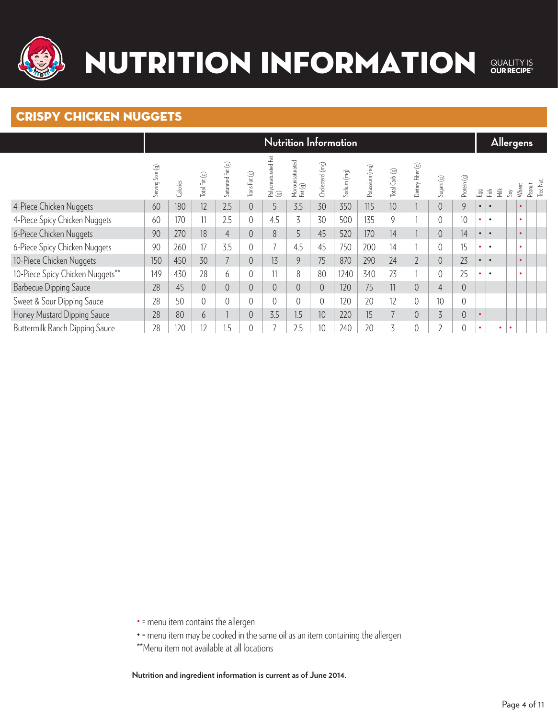

#### crispy chicken nuggets

|                                  |                  |          |                |                   |                |                            |                            |                  | <b>Nutrition Information</b> |                |                |                   |                |                |           |           |                  | <b>Allergens</b>       |        |                 |
|----------------------------------|------------------|----------|----------------|-------------------|----------------|----------------------------|----------------------------|------------------|------------------------------|----------------|----------------|-------------------|----------------|----------------|-----------|-----------|------------------|------------------------|--------|-----------------|
|                                  | Serving Size (g) | Calories | Total Fat (g)  | Saturated Fat (g) | Trans Fat (g)  | Polyunsaturated Fat<br>(g) | Monounsaturated<br>Fat (g) | Cholesterol (mg) | Sodium (mg)                  | Potassium (mg) | Total Carb (g) | Dietary Fiber (g) | Sugars(g)      | Protein (g)    | Egg       | Esh       | $\breve{\equiv}$ | Wheat<br>$\mathcal{S}$ | Peanut | <b>Tree Nut</b> |
| 4-Piece Chicken Nuggets          | 60               | 180      | 12             | 2.5               | $\overline{0}$ | 5                          | 3.5                        | 30               | 350                          | 115            | 10             |                   | $\overline{0}$ | $\overline{9}$ | $\bullet$ | $\bullet$ |                  |                        |        |                 |
| 4-Piece Spicy Chicken Nuggets    | 60               | 170      | 11             | 2.5               | $\theta$       | 4.5                        | 3                          | 30               | 500                          | 135            | 9              |                   |                | 10             | ٠         | $\bullet$ |                  | ٠                      |        |                 |
| 6-Piece Chicken Nuggets          | 90               | 270      | 18             | $\overline{4}$    | $\overline{0}$ | 8                          | 5                          | 45               | 520                          | 170            | 14             |                   | 0              | 14             | $\bullet$ | $\bullet$ |                  |                        |        |                 |
| 6-Piece Spicy Chicken Nuggets    | 90               | 260      | 17             | 3.5               | $\theta$       |                            | 4.5                        | 45               | 750                          | 200            | 14             |                   |                | 15             | ٠         | $\bullet$ |                  | $\bullet$              |        |                 |
| 10-Piece Chicken Nuggets         | 150              | 450      | 30             | $\overline{7}$    | $\overline{0}$ | 13                         | 9                          | 75               | 870                          | 290            | 24             | $\overline{2}$    | $\overline{0}$ | 23             | $\bullet$ | $\bullet$ |                  |                        |        |                 |
| 10-Piece Spicy Chicken Nuggets** | 149              | 430      | 28             | 6                 | $\theta$       | 11                         | 8                          | 80               | 1240                         | 340            | 23             |                   |                | 25             | ٠         | $\bullet$ |                  |                        |        |                 |
| <b>Barbecue Dipping Sauce</b>    | 28               | 45       | $\overline{0}$ | $\sqrt{a}$        | $\overline{0}$ | 0                          | $\overline{0}$             | $\overline{0}$   | 120                          | 75             | 11             | $\overline{0}$    | $\overline{4}$ | $\overline{0}$ |           |           |                  |                        |        |                 |
| Sweet & Sour Dipping Sauce       | 28               | 50       |                | $\theta$          | $\theta$       | $\Omega$                   | 0                          | $\theta$         | 120                          | 20             | 12             | $\overline{0}$    | 10             | $\theta$       |           |           |                  |                        |        |                 |
| Honey Mustard Dipping Sauce      | 28               | 80       | 6              |                   | $\overline{0}$ | 3.5                        | 1.5                        | 10               | 220                          | 15             |                | $\overline{0}$    | $\overline{5}$ | $\overline{0}$ |           |           |                  |                        |        |                 |
| Buttermilk Ranch Dipping Sauce   | 28               | 120      | 12             | 1.5               | 0              |                            | 2.5                        | 10               | 240                          | 20             | 3              | C                 | C.             | $\overline{0}$ | $\bullet$ |           | $\bullet$        | $\bullet$              |        |                 |

• = menu item contains the allergen

- = menu item may be cooked in the same oil as an item containing the allergen
- \*\*Menu item not available at all locations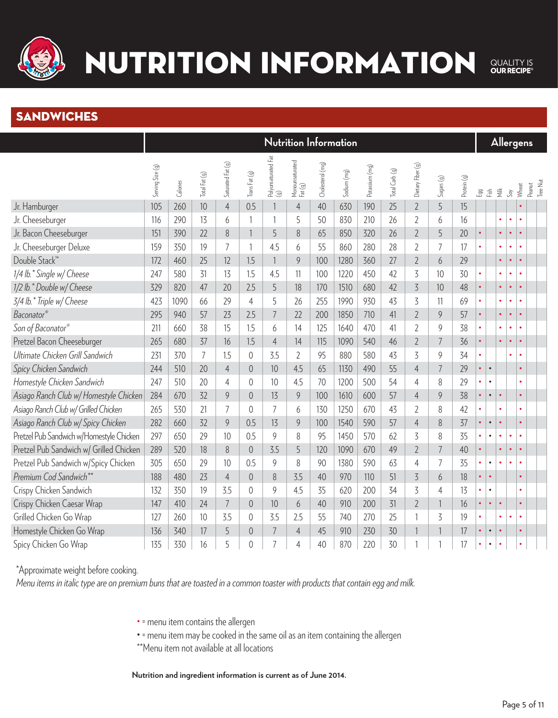

# NUTRITION INFORMATION

QUALITY IS<br> **OUR RECIPE®** 

#### **SANDWICHES**

|                                          |                  |          |                |                   |                |                            |                            |                  | Nutrition Information |                |                |                   |                |             |               |           |               |           | <u>Allerg</u> ens |          |
|------------------------------------------|------------------|----------|----------------|-------------------|----------------|----------------------------|----------------------------|------------------|-----------------------|----------------|----------------|-------------------|----------------|-------------|---------------|-----------|---------------|-----------|-------------------|----------|
|                                          | Serving Size (g) | Calories | Total Fat (g)  | Saturated Fat (g) | Trans Fat (g)  | Polyunsaturated Fat<br>(g) | Monounsaturated<br>Fat (g) | Cholesterol (mg) | Sodium (mg)           | Potassium (mg) | Total Carb (g) | Dietary Fiber (g) | Sugars (g)     | Protein (g) | .<br>만<br>Eif |           | $\frac{1}{2}$ | $S_{0}$   | Peanut<br>Wheat   | Tree Nut |
| Jr. Hamburger                            | 105              | 260      | 10             | $\overline{4}$    | 0.5            |                            | $\overline{4}$             | 40               | 630                   | 190            | 25             | $\overline{2}$    | 5              | 15          |               |           |               |           |                   |          |
| Jr. Cheeseburger                         | 116              | 290      | 13             | 6                 | $\mathbf{1}$   | $\mathbf{1}$               | 5                          | 50               | 830                   | 210            | 26             | $\overline{2}$    | 6              | 16          |               |           | $\bullet$     | $\bullet$ | $\bullet$         |          |
| Jr. Bacon Cheeseburger                   | 151              | 390      | 22             | 8                 | $\mathbf{1}$   | 5                          | 8                          | 65               | 850                   | 320            | 26             | $\overline{2}$    | 5              | 20          | $\bullet$     |           | $\bullet$     |           |                   |          |
| Jr. Cheeseburger Deluxe                  | 159              | 350      | 19             | $\overline{7}$    | $\mathbf{1}$   | 4.5                        | 6                          | 55               | 860                   | 280            | 28             | $\overline{2}$    | $\overline{7}$ | 17          |               |           | $\bullet$     |           |                   |          |
| Double Stack™                            | 172              | 460      | 25             | 12                | 1.5            | $\overline{1}$             | 9                          | 100              | 1280                  | 360            | 27             | $\overline{2}$    | 6              | 29          |               |           | $\bullet$     |           |                   |          |
| 1/4 lb.* Single w/ Cheese                | 247              | 580      | 31             | 13                | 1.5            | 4.5                        | 11                         | 100              | 1220                  | 450            | 42             | 3                 | 10             | 30          |               |           | $\bullet$     |           |                   |          |
| 1/2 lb.* Double w/ Cheese                | 329              | 820      | 47             | 20                | 2.5            | 5                          | 18                         | 170              | 1510                  | 680            | 42             | $\overline{3}$    | 10             | 48          | $\bullet$     |           | $\bullet$     | $\bullet$ | $\bullet$         |          |
| 3/4 lb.* Triple w/ Cheese                | 423              | 1090     | 66             | 29                | $\overline{4}$ | 5                          | 26                         | 255              | 1990                  | 930            | 43             | 3                 | 11             | 69          |               |           | $\bullet$     | $\bullet$ | $\bullet$         |          |
| Baconator®                               | 295              | 940      | 57             | 23                | 2.5            | $\overline{7}$             | 22                         | 200              | 1850                  | 710            | 41             | $\overline{2}$    | 9              | 57          | $\bullet$     |           | $\bullet$     | $\bullet$ | $\bullet$         |          |
| Son of Baconator®                        | 211              | 660      | 38             | 15                | 1.5            | 6                          | 14                         | 125              | 1640                  | 470            | 41             | $\overline{2}$    | 9              | 38          | ۰             |           | $\bullet$     | $\bullet$ | $\bullet$         |          |
| Pretzel Bacon Cheeseburger               | 265              | 680      | 37             | 16                | 1.5            | $\overline{4}$             | 14                         | 115              | 1090                  | 540            | 46             | $\overline{2}$    | $\overline{7}$ | 36          | $\bullet$     |           | $\bullet$     | $\bullet$ | $\bullet$         |          |
| Ultimate Chicken Grill Sandwich          | 231              | 370      | $\overline{7}$ | 1.5               | $\overline{0}$ | 3.5                        | $\overline{2}$             | 95               | 880                   | 580            | 43             | $\overline{3}$    | 9              | 34          | $\bullet$     |           |               | $\bullet$ | $\bullet$         |          |
| Spicy Chicken Sandwich                   | 244              | 510      | 20             | $\overline{4}$    | $\overline{0}$ | 10                         | 4.5                        | 65               | 1130                  | 490            | 55             | $\overline{4}$    | $\overline{7}$ | 29          | $\bullet$     | $\bullet$ |               |           |                   |          |
| Homestyle Chicken Sandwich               | 247              | 510      | 20             | $\overline{4}$    | $\overline{0}$ | 10                         | 4.5                        | 70               | 1200                  | 500            | 54             | $\overline{4}$    | 8              | 29          | $\bullet$     | $\bullet$ |               |           | ٠                 |          |
| Asiago Ranch Club w/ Homestyle Chicken   | 284              | 670      | 32             | 9                 | $\overline{0}$ | 13                         | 9                          | 100              | 1610                  | 600            | 57             | $\overline{4}$    | 9              | 38          | $\bullet$     | $\bullet$ | $\bullet$     |           | $\bullet$         |          |
| Asiago Ranch Club w/ Grilled Chicken     | 265              | 530      | 21             | $\overline{7}$    | $\overline{0}$ | $\overline{7}$             | 6                          | 130              | 1250                  | 670            | 43             | $\overline{2}$    | 8              | 42          |               |           | $\bullet$     |           |                   |          |
| Asiago Ranch Club w/ Spicy Chicken       | 282              | 660      | 32             | 9                 | 0.5            | 13                         | 9                          | 100              | 1540                  | 590            | 57             | 4                 | 8              | 37          | $\bullet$     | $\bullet$ | $\bullet$     |           |                   |          |
| Pretzel Pub Sandwich w/Homestyle Chicken | 297              | 650      | 29             | 10                | 0.5            | 9                          | 8                          | 95               | 1450                  | 570            | 62             | 3                 | 8              | 35          | $\bullet$     | $\bullet$ | $\bullet$     |           | $\bullet$         |          |
| Pretzel Pub Sandwich w/ Grilled Chicken  | 289              | 520      | 18             | 8                 | $\overline{0}$ | 3.5                        | 5                          | 120              | 1090                  | 670            | 49             | $\overline{2}$    | $\overline{7}$ | 40          | $\bullet$     |           | $\bullet$     | $\bullet$ | $\bullet$         |          |
| Pretzel Pub Sandwich w/Spicy Chicken     | 305              | 650      | 29             | 10                | 0.5            | 9                          | 8                          | 90               | 1380                  | 590            | 63             | 4                 | $\overline{7}$ | 35          | $\bullet$     | $\bullet$ | $\bullet$     |           | $\bullet$         |          |
| Premium Cod Sandwich**                   | 188              | 480      | 23             | $\overline{4}$    | $\overline{0}$ | 8                          | 3.5                        | 40               | 970                   | 110            | 51             | $\overline{3}$    | 6              | 18          | ۰             | $\bullet$ |               |           |                   |          |
| Crispy Chicken Sandwich                  | 132              | 350      | 19             | 3.5               | $\overline{0}$ | 9                          | 4.5                        | 35               | 620                   | 200            | 34             | $\overline{3}$    | 4              | 13          | $\bullet$     | $\bullet$ |               |           |                   |          |
| Crispy Chicken Caesar Wrap               | 147              | 410      | 24             | $\overline{7}$    | $\overline{0}$ | 10                         | 6                          | 40               | 910                   | 200            | 31             | $\overline{2}$    |                | 16          | $\bullet$     | $\bullet$ | $\bullet$     |           |                   |          |
| Grilled Chicken Go Wrap                  | 127              | 260      | 10             | 3.5               | $\overline{0}$ | 3.5                        | 2.5                        | 55               | 740                   | 270            | 25             | $\mathbf{1}$      | 3              | 19          |               |           | ۰             |           |                   |          |
| Homestyle Chicken Go Wrap                | 136              | 340      | 17             | 5                 | $\overline{0}$ | $\overline{7}$             | $\overline{4}$             | 45               | 910                   | 230            | 30             | 1                 |                | 17          | $\bullet$     | $\bullet$ | $\bullet$     |           |                   |          |
| Spicy Chicken Go Wrap                    | 135              | 330      | 16             | 5                 | $\overline{0}$ | $\overline{7}$             | 4                          | 40               | 870                   | 220            | 30             |                   |                | 17          | $\bullet$     | $\bullet$ | $\bullet$     |           |                   |          |

\*Approximate weight before cooking.

*Menu items in italic type are on premium buns that are toasted in a common toaster with products that contain egg and milk.*

- = menu item contains the allergen
- = menu item may be cooked in the same oil as an item containing the allergen
- \*\*Menu item not available at all locations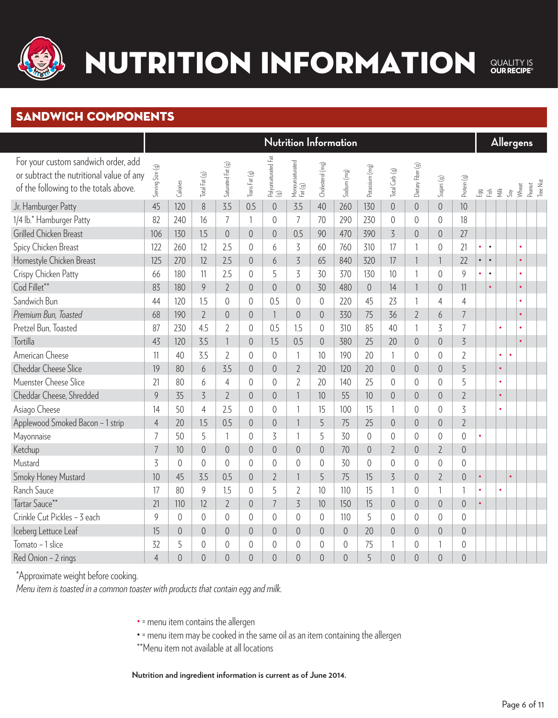

### sandwich components

|                                                                                                                          | Nutrition Information |                  |                |                   |                |                            |                            |                  |                  |                |                |                   |                 |                |           |           |                                        | Allergens |                    |
|--------------------------------------------------------------------------------------------------------------------------|-----------------------|------------------|----------------|-------------------|----------------|----------------------------|----------------------------|------------------|------------------|----------------|----------------|-------------------|-----------------|----------------|-----------|-----------|----------------------------------------|-----------|--------------------|
| For your custom sandwich order, add<br>or subtract the nutritional value of any<br>of the following to the totals above. | Serving Size (g)      | Calories         | Total Fat (g)  | Saturated Fat (g) | Trans Fat (g)  | Polyunsaturated Fat<br>(g) | Monounsaturated<br>Fat (g) | Cholesterol (mg) | Sodium (mg)      | Potassium (mg) | Total Carb (g) | Dietary Fiber (g) | $S$ ugars $(g)$ | Protein (g)    |           |           | $B\ddot{a} \ddot{b} \ddot{c} \ddot{c}$ | Wheat     | Tree Nut<br>Peanut |
| Jr. Hamburger Patty                                                                                                      | 45                    | 120              | $8\,$          | 3.5               | 0.5            | $\mathbf 0$                | 3.5                        | 40               | 260              | 130            | $\mathbf 0$    | $\overline{0}$    | $\overline{0}$  | 10             |           |           |                                        |           |                    |
| 1/4 lb.* Hamburger Patty                                                                                                 | 82                    | 240              | 16             | $\overline{7}$    | 1              | $\overline{0}$             | $\overline{7}$             | 70               | 290              | 230            | $\overline{0}$ | $\overline{0}$    | $\overline{0}$  | 18             |           |           |                                        |           |                    |
| Grilled Chicken Breast                                                                                                   | 106                   | 130              | 1.5            | $\mathbf 0$       | $\overline{0}$ | $\overline{0}$             | 0.5                        | 90               | 470              | 390            | $\overline{3}$ | $\overline{0}$    | $\overline{0}$  | 27             |           |           |                                        |           |                    |
| Spicy Chicken Breast                                                                                                     | 122                   | 260              | 12             | 2.5               | $\overline{0}$ | 6                          | 3                          | 60               | 760              | 310            | 17             | $\mathbf{1}$      | $\theta$        | 21             | ò.        | $\bullet$ |                                        |           |                    |
| Homestyle Chicken Breast                                                                                                 | 125                   | 270              | 12             | 2.5               | $\overline{0}$ | 6                          | $\overline{3}$             | 65               | 840              | 320            | 17             | $\mathbf{1}$      | $\mathbf{1}$    | 22             | $\bullet$ | $\bullet$ |                                        |           |                    |
| Crispy Chicken Patty                                                                                                     | 66                    | 180              | 11             | 2.5               | 0              | 5                          | $\overline{5}$             | 30               | 370              | 130            | 10             | 1                 | $\overline{0}$  | 9              | ۰         | $\bullet$ |                                        | $\bullet$ |                    |
| Cod Fillet**                                                                                                             | 83                    | 180              | 9              | $\overline{2}$    | $\overline{0}$ | $\overline{0}$             | $\overline{0}$             | 30               | 480              | $\mathbf 0$    | 14             | $\mathbf{1}$      | $\sqrt{0}$      | 11             |           | $\bullet$ |                                        | $\bullet$ |                    |
| Sandwich Bun                                                                                                             | 44                    | 120              | 1.5            | $\mathbf 0$       | $\mathbf 0$    | 0.5                        | $\sqrt{0}$                 | $\sqrt{0}$       | 220              | 45             | 23             | $\mathbf{1}$      | $\overline{4}$  | $\overline{4}$ |           |           |                                        |           |                    |
| Premium Bun, Toasted                                                                                                     | 68                    | 190              | $\overline{2}$ | $\overline{0}$    | $\sqrt{0}$     | $\overline{\phantom{a}}$   | $\overline{0}$             | $\overline{0}$   | 330              | 75             | 36             | $\overline{2}$    | 6               | $\overline{7}$ |           |           |                                        |           |                    |
| Pretzel Bun, Toasted                                                                                                     | 87                    | 230              | 4.5            | $\overline{2}$    | $\sqrt{0}$     | 0.5                        | 1.5                        | $\sqrt{0}$       | 310              | 85             | 40             | $\mathbf{1}$      | 3               | $\overline{7}$ |           |           |                                        |           |                    |
| <b>Tortilla</b>                                                                                                          | 43                    | 120              | 3.5            | 1                 | $\sqrt{0}$     | 1.5                        | 0.5                        | $\sqrt{a}$       | 380              | 25             | 20             | $\overline{0}$    | $\overline{0}$  | $\overline{5}$ |           |           |                                        |           |                    |
| American Cheese                                                                                                          | 11                    | 40               | 3.5            | $\overline{2}$    | $\mathbf 0$    | $\theta$                   | 1                          | 10               | 190              | 20             | $\mathbf{1}$   | $\overline{0}$    | $\sqrt{0}$      | $\overline{2}$ |           |           | $\bullet$                              |           |                    |
| <b>Cheddar Cheese Slice</b>                                                                                              | 19                    | 80               | 6              | 3.5               | $\overline{0}$ | $\overline{0}$             | $\overline{2}$             | 20               | 120              | 20             | $\sqrt{a}$     | $\overline{0}$    | $\mathbf 0$     | 5              |           |           | $\bullet$                              |           |                    |
| Muenster Cheese Slice                                                                                                    | 21                    | 80               | 6              | $\overline{4}$    | $\overline{0}$ | $\mathbf 0$                | $\overline{2}$             | 20               | 140              | 25             | $\overline{0}$ | $\overline{0}$    | $\overline{0}$  | 5              |           |           | $\bullet$                              |           |                    |
| Cheddar Cheese, Shredded                                                                                                 | 9                     | 35               | $\overline{5}$ | $\overline{2}$    | $\overline{0}$ | $\theta$                   | $\mathbf{1}$               | 10               | 55               | 10             | $\sqrt{0}$     | $\overline{0}$    | $\overline{0}$  | $\overline{2}$ |           |           | $\bullet$                              |           |                    |
| Asiago Cheese                                                                                                            | 14                    | 50               | $\overline{4}$ | 2.5               | $\overline{0}$ | $\theta$                   | 1                          | 15               | 100              | 15             | 1              | $\overline{0}$    | $\overline{0}$  | $\overline{3}$ |           |           |                                        |           |                    |
| Applewood Smoked Bacon - 1 strip                                                                                         | $\overline{4}$        | 20               | 1.5            | 0.5               | $\overline{0}$ | $\theta$                   |                            | 5                | 75               | 25             | $\overline{0}$ | $\theta$          | $\overline{0}$  | $\overline{2}$ |           |           |                                        |           |                    |
| Mayonnaise                                                                                                               | $\overline{7}$        | 50               | 5              | 1                 | $\sqrt{0}$     | 3                          |                            | 5                | 30               | $\sqrt{0}$     | $\mathbf 0$    | $\overline{0}$    | $\overline{0}$  | $\overline{0}$ |           |           |                                        |           |                    |
| Ketchup                                                                                                                  | $\overline{7}$        | 10               | $\overline{0}$ | $\overline{0}$    | $\overline{0}$ | $\overline{0}$             | $\overline{0}$             | $\overline{0}$   | 70               | $\sqrt{a}$     | $\overline{2}$ | $\overline{0}$    | $\overline{2}$  | $\overline{0}$ |           |           |                                        |           |                    |
| Mustard                                                                                                                  | 3                     | $\overline{0}$   | $\overline{0}$ | $\overline{0}$    | $\overline{0}$ | $\theta$                   | $\overline{0}$             | $\overline{0}$   | 30               | $\overline{0}$ | $\sqrt{0}$     | $\overline{0}$    | $\overline{0}$  | $\overline{0}$ |           |           |                                        |           |                    |
| Smoky Honey Mustard                                                                                                      | 10                    | 45               | 3.5            | 0.5               | $\overline{0}$ | $\overline{2}$             | 1                          | 5                | 75               | 15             | $\overline{5}$ | $\overline{0}$    | $\overline{2}$  | $\sqrt{0}$     | $\bullet$ |           |                                        | $\bullet$ |                    |
| Ranch Sauce                                                                                                              | 17                    | 80               | $\mathcal{G}$  | 1.5               | $\mathbf 0$    | 5                          | $\overline{2}$             | 10               | 110              | 15             | $\mathbf{1}$   | $\overline{0}$    | 1               | $\mathbf{1}$   | $\bullet$ |           |                                        |           |                    |
| Tartar Sauce**                                                                                                           | 21                    | 110              | 12             | $\overline{2}$    | $\sqrt{a}$     | $\overline{7}$             | $\overline{5}$             | 10               | 150              | 15             | $\sqrt{a}$     | $\overline{0}$    | $\overline{0}$  | $\overline{0}$ | $\bullet$ |           |                                        |           |                    |
| Crinkle Cut Pickles - 3 each                                                                                             | 9                     | $\sqrt{0}$       | $\sqrt{a}$     | 0                 | $\sqrt{0}$     | $\sqrt{0}$                 | $\mathbf 0$                | $\theta$         | 110              | 5              | $\sqrt{0}$     | $\overline{0}$    | 0               | $\mathbf 0$    |           |           |                                        |           |                    |
| Iceberg Lettuce Leaf                                                                                                     | 15                    | $\boldsymbol{0}$ | $\sqrt{a}$     | $\mathbf 0$       | $\overline{0}$ | $\mathbf 0$                | $\boldsymbol{0}$           | $\sqrt{0}$       | $\boldsymbol{0}$ | 20             | $\overline{0}$ | $\overline{0}$    | $\mathbf 0$     | $\overline{0}$ |           |           |                                        |           |                    |
| Tomato - 1 slice                                                                                                         | 32                    | 5                | $\overline{0}$ | 0                 | $\overline{0}$ | $\overline{0}$             | $\overline{0}$             | $\overline{0}$   | $\theta$         | 75             | $\mathbf{1}$   | $\overline{0}$    |                 | $\overline{0}$ |           |           |                                        |           |                    |
| Red Onion - 2 rings                                                                                                      | $\overline{4}$        | $\overline{0}$   | $\overline{0}$ | $\overline{0}$    | $\overline{0}$ | $\overline{0}$             | 0                          | $\overline{0}$   | $\overline{0}$   | 5              | $\overline{0}$ | $\overline{0}$    | $\overline{0}$  | $\overline{0}$ |           |           |                                        |           |                    |

\*Approximate weight before cooking.

*Menu item is toasted in a common toaster with products that contain egg and milk.*

- = menu item contains the allergen
- = menu item may be cooked in the same oil as an item containing the allergen
- \*\*Menu item not available at all locations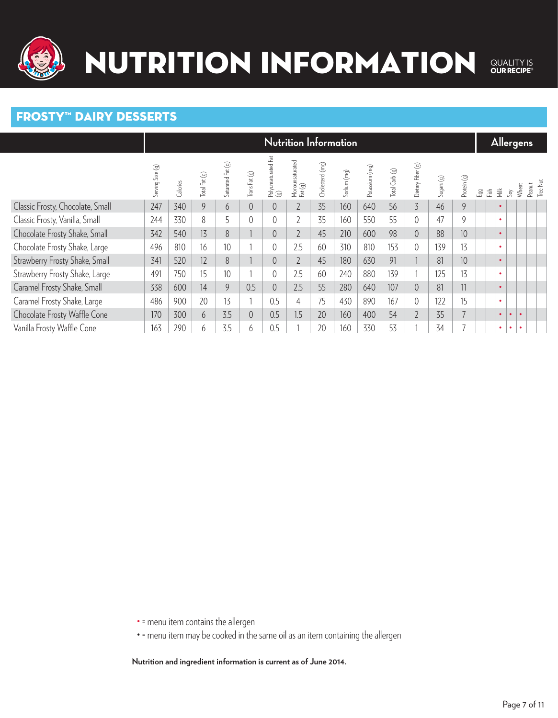

#### Frosty™ Dairy Desserts

|                                  |                  |          |                 |                   |                |                            | <b>Nutrition Information</b> |                  |             |                |                |                   |           |                 |             |           |               | <b>Allergens</b> |                    |
|----------------------------------|------------------|----------|-----------------|-------------------|----------------|----------------------------|------------------------------|------------------|-------------|----------------|----------------|-------------------|-----------|-----------------|-------------|-----------|---------------|------------------|--------------------|
|                                  | Serving Size (g) | Calories | Total Fat (g)   | Saturated Fat (g) | Trans Fat (g)  | Polyunsaturated Fat<br>(g) | Monounsaturated<br>Fat (g)   | Cholesterol (mg) | Sodium (mg) | Potassium (mg) | Total Carb (g) | Dietary Fiber (g) | Sugars(g) | Protein (g)     | Fish<br>Lgg | 薹         | $\mathcal{S}$ | Wheat            | Tree Nut<br>Peanut |
| Classic Frosty, Chocolate, Small | 247              | 340      | 9               | 6                 | $\overline{0}$ | $\overline{0}$             | $\overline{2}$               | 35               | 160         | 640            | 56             | $\overline{3}$    | 46        | 9               |             | $\bullet$ |               |                  |                    |
| Classic Frosty, Vanilla, Small   | 244              | 330      | 8               | 5                 | $\Omega$       |                            | $\overline{2}$               | 35               | 160         | 550            | 55             | $\Omega$          | 47        | 9               |             | $\bullet$ |               |                  |                    |
| Chocolate Frosty Shake, Small    | 342              | 540      | 13 <sup>°</sup> | 8                 |                | $\overline{0}$             | $\overline{2}$               | 45               | 210         | 600            | 98             | $\overline{0}$    | 88        | 10              |             | $\bullet$ |               |                  |                    |
| Chocolate Frosty Shake, Large    | 496              | 810      | 16              | 10                |                |                            | 2.5                          | 60               | 310         | 810            | 153            | $\overline{0}$    | 139       | 13              |             | $\bullet$ |               |                  |                    |
| Strawberry Frosty Shake, Small   | 341              | 520      | 12              | 8                 |                | 0                          | $\overline{2}$               | 45               | 180         | 630            | 91             |                   | 81        | 10 <sup>°</sup> |             | $\bullet$ |               |                  |                    |
| Strawberry Frosty Shake, Large   | 491              | 750      | 15              | 10                |                |                            | 2.5                          | 60               | 240         | 880            | 139            |                   | 125       | 13              |             | $\bullet$ |               |                  |                    |
| Caramel Frosty Shake, Small      | 338              | 600      | 14              | 9                 | 0.5            | $\overline{0}$             | 2.5                          | 55               | 280         | 640            | 107            | $\overline{0}$    | 81        | 11              |             | $\bullet$ |               |                  |                    |
| Caramel Frosty Shake, Large      | 486              | 900      | 20              | 13                |                | 0.5                        | $\overline{4}$               | 75               | 430         | 890            | 167            | $\theta$          | 122       | 15              |             | $\bullet$ |               |                  |                    |
| Chocolate Frosty Waffle Cone     | 170              | 300      | 6               | 3.5               | $\overline{0}$ | 0.5                        | 1.5                          | 20               | 160         | 400            | 54             | $\overline{2}$    | 35        | 7               |             | $\bullet$ | $\bullet$     |                  |                    |
| Vanilla Frosty Waffle Cone       | 163              | 290      | 6               | 3.5               | 6              | 0.5                        |                              | 20               | 160         | 330            | 53             |                   | 34        |                 |             | $\bullet$ | $\bullet$     |                  |                    |

• = menu item contains the allergen

• = menu item may be cooked in the same oil as an item containing the allergen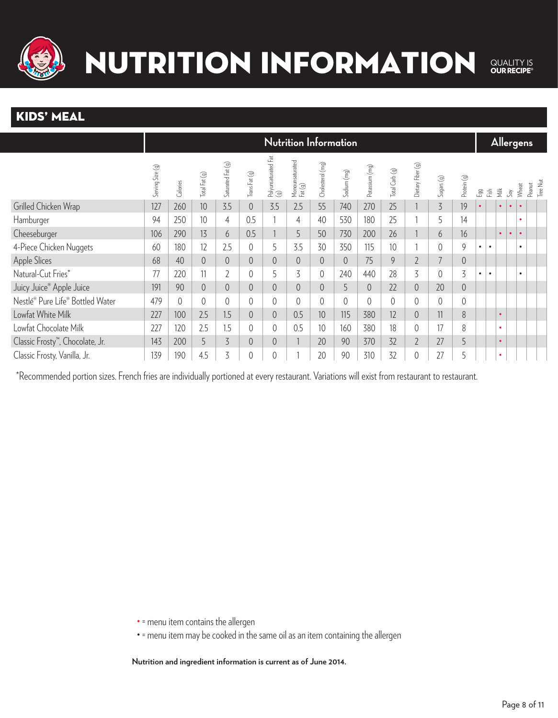

### NUTRITION INFORMATION QUALITY IS<br> **OUR RECIPE®**

### KIDS' MEAL

|                                              |                  |          |                 |                   |                |                            | <b>Nutrition Information</b> |                  |             |                |                |                   |                |                |           |                         |               | <b>Allergens</b> |           |                    |
|----------------------------------------------|------------------|----------|-----------------|-------------------|----------------|----------------------------|------------------------------|------------------|-------------|----------------|----------------|-------------------|----------------|----------------|-----------|-------------------------|---------------|------------------|-----------|--------------------|
|                                              | Serving Size (g) | Calories | Total Fat (g)   | Saturated Fat (g) | Trans Fat (g)  | Polyunsaturated Fat<br>(g) | Monounsaturated<br>Fat (g)   | Cholesterol (mg) | Sodium (mg) | Potassium (mg) | Total Carb (g) | Dietary Fiber (g) | Sugars(g)      | Protein (g)    | Egg       | $\overline{\mathbb{E}}$ | $\frac{1}{2}$ | $\mathcal{S}$    | Wheat     | Tree Nut<br>Peanut |
| Grilled Chicken Wrap                         | 127              | 260      | 10 <sup>°</sup> | 3.5               | $\overline{0}$ | 3.5                        | 2.5                          | 55               | 740         | 270            | 25             |                   | $\overline{5}$ | 19             |           |                         | $\bullet$     | $\bullet$        |           |                    |
| Hamburger                                    | 94               | 250      | 10 <sup>°</sup> | $\overline{4}$    | 0.5            |                            | 4                            | 40               | 530         | 180            | 25             |                   | 5              | 14             |           |                         |               |                  | ٠         |                    |
| Cheeseburger                                 | 106              | 290      | 13              | 6                 | 0.5            |                            | 5                            | 50               | 730         | 200            | 26             |                   | 6              | 16             |           |                         | $\bullet$     | $\bullet$        | $\bullet$ |                    |
| 4-Piece Chicken Nuggets                      | 60               | 180      | 12              | 2.5               | $\overline{0}$ | 5                          | 3.5                          | 30               | 350         | 115            | 10             |                   | 0              | 9              | $\bullet$ | $\bullet$               |               |                  | $\bullet$ |                    |
| <b>Apple Slices</b>                          | 68               | 40       |                 | $\overline{0}$    | $\overline{0}$ |                            | $\overline{0}$               | $\overline{0}$   | $\Omega$    | 75             | 9              | $\overline{2}$    | 7              | $\sqrt{0}$     |           |                         |               |                  |           |                    |
| Natural-Cut Fries*                           | 77               | 220      |                 | $\overline{2}$    | 0              |                            | 3                            | 0                | 240         | 440            | 28             | 3                 | 0              | 3              | ٠         | $\bullet$               |               |                  |           |                    |
| Juicy Juice <sup>®</sup> Apple Juice         | 191              | 90       |                 | $\sqrt{a}$        | $\theta$       |                            | $\overline{0}$               | $\overline{0}$   | 5           | $\overline{0}$ | 22             | $\overline{0}$    | 20             | $\overline{0}$ |           |                         |               |                  |           |                    |
| Nestlé® Pure Life® Bottled Water             | 479              | $\theta$ |                 | $\overline{0}$    | 0              |                            | 0                            | 0                | $\Omega$    | 0              | $\Omega$       | $\theta$          | 0              | $\theta$       |           |                         |               |                  |           |                    |
| Lowfat White Milk                            | 227              | 100      | 2.5             | 1.5               | $\overline{0}$ | $\overline{0}$             | 0.5                          | 10               | 115         | 380            | 12             | $\overline{0}$    | 11             | 8              |           |                         | $\bullet$     |                  |           |                    |
| Lowfat Chocolate Milk                        | 227              | 120      | 2.5             | 1.5               | $\overline{0}$ |                            | 0.5                          | 10               | 160         | 380            | 18             | $\overline{0}$    | 17             | 8              |           |                         | $\bullet$     |                  |           |                    |
| Classic Frosty <sup>™</sup> , Chocolate, Jr. | 143              | 200      | 5               | $\overline{5}$    | $\overline{0}$ | $\overline{0}$             |                              | 20               | 90          | 370            | 32             | $\overline{2}$    | 27             | 5              |           |                         | $\bullet$     |                  |           |                    |
| Classic Frosty, Vanilla, Jr.                 | 139              | 190      | 4.5             | 3                 | 0              |                            |                              | 20               | 90          | 310            | 32             | $\overline{0}$    | 27             | 5              |           |                         | $\bullet$     |                  |           |                    |

\*Recommended portion sizes. French fries are individually portioned at every restaurant. Variations will exist from restaurant to restaurant.

• = menu item contains the allergen

• = menu item may be cooked in the same oil as an item containing the allergen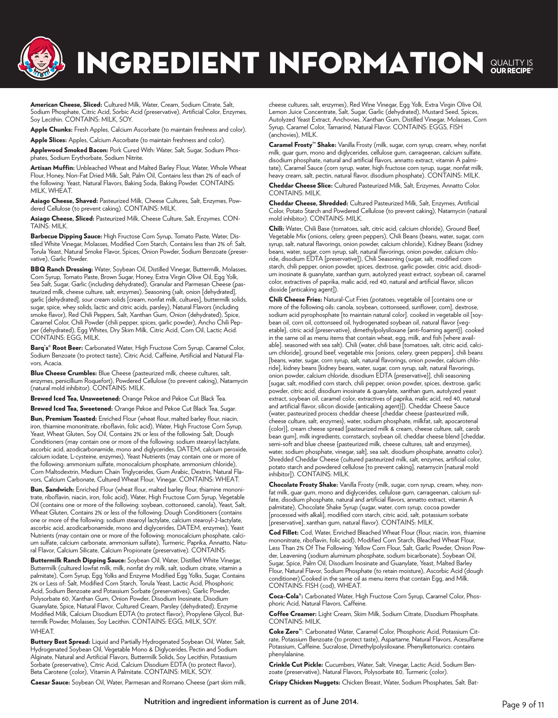# INGREDIENT INFORMATION SUALITY IS

American Cheese, Sliced: Cultured Milk, Water, Cream, Sodium Citrate, Salt, Sodium Phosphate, Citric Acid, Sorbic Acid (preservative), Artificial Color, Enzymes, Soy Lecithin. CONTAINS: MILK, SOY.

Apple Chunks: Fresh Apples, Calcium Ascorbate (to maintain freshness and color).

Apple Slices: Apples, Calcium Ascorbate (to maintain freshness and color).

Applewood Smoked Bacon: Pork Cured With: Water, Salt, Sugar, Sodium Phosphates, Sodium Erythorbate, Sodium Nitrite.

Artisan Muffin: Unbleached Wheat and Malted Barley Flour, Water, Whole Wheat Flour, Honey, Non-Fat Dried Milk, Salt, Palm Oil, Contains less than 2% of each of the following: Yeast, Natural Flavors, Baking Soda, Baking Powder. CONTAINS: MILK, WHEAT.

Asiago Cheese, Shaved: Pasteurized Milk, Cheese Cultures, Salt, Enzymes, Powdered Cellulose (to prevent caking). CONTAINS: MILK.

Asiago Cheese, Sliced: Pasteurized Milk, Cheese Culture, Salt, Enzymes. CON-TAINS: MILK.

Barbecue Dipping Sauce: High Fructose Corn Syrup, Tomato Paste, Water, Distilled White Vinegar, Molasses, Modified Corn Starch, Contains less than 2% of: Salt, Torula Yeast, Natural Smoke Flavor, Spices, Onion Powder, Sodium Benzoate (preservative), Garlic Powder.

BBQ Ranch Dressing: Water, Soybean Oil, Distilled Vinegar, Buttermilk, Molasses, Corn Syrup, Tomato Paste, Brown Sugar, Honey, Extra Virgin Olive Oil, Egg Yolk, Sea Salt, Sugar, Garlic (including dehydrated), Granular and Parmesan Cheese (pasteurized milk, cheese culture, salt, enzymes), Seasoning (salt, onion [dehydrated], garlic [dehydrated], sour cream solids [cream, nonfat milk, cultures], buttermilk solids, sugar, spice, whey solids, lactic and citric acids, parsley), Natural Flavors (including smoke flavor), Red Chili Peppers, Salt, Xanthan Gum, Onion (dehydrated), Spice, Caramel Color, Chili Powder (chili pepper, spices, garlic powder), Ancho Chili Pepper (dehydrated), Egg Whites, Dry Skim Milk, Citric Acid, Corn Oil, Lactic Acid. CONTAINS: EGG, MILK.

Barq's<sup>®</sup> Root Beer: Carbonated Water, High Fructose Corn Syrup, Caramel Color, Sodium Benzoate (to protect taste), Citric Acid, Caffeine, Artificial and Natural Flavors, Acacia.

Blue Cheese Crumbles: Blue Cheese (pasteurized milk, cheese cultures, salt, enzymes, penicillium Roquefort), Powdered Cellulose (to prevent caking), Natamycin (natural mold inhibitor). CONTAINS: MILK.

Brewed Iced Tea, Unsweetened: Orange Pekoe and Pekoe Cut Black Tea.

Brewed Iced Tea, Sweetened: Orange Pekoe and Pekoe Cut Black Tea, Sugar.

Bun, Premium Toasted: Enriched Flour (wheat flour, malted barley flour, niacin, iron, thiamine mononitrate, riboflavin, folic acid), Water, High Fructose Corn Syrup, Yeast, Wheat Gluten, Soy Oil, Contains 2% or less of the following: Salt, Dough Conditioners (may contain one or more of the following: sodium stearoyl lactylate, ascorbic acid, azodicarbonamide, mono and diglycerides, DATEM, calcium peroxide, calcium iodate, L-cysteine, enzymes), Yeast Nutrients (may contain one or more of the following: ammonium sulfate, monocalcium phosphate, ammonium chloride), Corn Maltodextrin, Medium Chain Triglycerides, Gum Arabic, Dextrin, Natural Flavors, Calcium Carbonate, Cultured Wheat Flour, Vinegar. CONTAINS: WHEAT.

Bun, Sandwich: Enriched Flour (wheat flour, malted barley flour, thiamine mononitrate, riboflavin, niacin, iron, folic acid), Water, High Fructose Corn Syrup, Vegetable Oil (contains one or more of the following: soybean, cottonseed, canola), Yeast, Salt, Wheat Gluten, Contains 2% or less of the following: Dough Conditioners (contains one or more of the following: sodium stearoyl lactylate, calcium stearoyl-2-lactylate, ascorbic acid, azodicarbonamide, mono and diglycerides, DATEM, enzymes), Yeast Nutrients (may contain one or more of the following: monocalcium phosphate, calcium sulfate, calcium carbonate, ammonium sulfate), Turmeric, Paprika, Annatto, Natural Flavor, Calcium Silicate, Calcium Propionate (preservative). CONTAINS:

Buttermilk Ranch Dipping Sauce: Soybean Oil, Water, Distilled White Vinegar, Buttermilk (cultured lowfat milk, milk, nonfat dry milk, salt, sodium citrate, vitamin a palmitate), Corn Syrup, Egg Yolks and Enzyme Modified Egg Yolks, Sugar, Contains 2% or Less of: Salt, Modified Corn Starch, Torula Yeast, Lactic Acid, Phosphoric Acid, Sodium Benzoate and Potassium Sorbate (preservatives), Garlic Powder, Polysorbate 60, Xanthan Gum, Onion Powder, Disodium Inosinate, Disodium Guanylate, Spice, Natural Flavor, Cultured Cream, Parsley (dehydrated), Enzyme Modified Milk, Calcium Disodium EDTA (to protect flavor), Propylene Glycol, Buttermilk Powder, Molasses, Soy Lecithin. CONTAINS: EGG, MILK, SOY. **WHFAT** 

Buttery Best Spread: Liquid and Partially Hydrogenated Soybean Oil, Water, Salt, Hydrogenated Soybean Oil, Vegetable Mono & Diglycerides, Pectin and Sodium Alginate, Natural and Artificial Flavors, Buttermilk Solids, Soy Lecithin, Potassium Sorbate (preservative), Citric Acid, Calcium Disodium EDTA (to protect flavor), Beta Carotene (color), Vitamin A Palmitate. CONTAINS: MILK, SOY.

Caesar Sauce: Soybean Oil, Water, Parmesan and Romano Cheese (part skim milk,

cheese cultures, salt, enzymes), Red Wine Vinegar, Egg Yolk, Extra Virgin Olive Oil, Lemon Juice Concentrate, Salt, Sugar, Garlic (dehydrated), Mustard Seed, Spices, Autolyzed Yeast Extract, Anchovies, Xanthan Gum, Distilled Vinegar, Molasses, Corn Syrup, Caramel Color, Tamarind, Natural Flavor. CONTAINS: EGGS, FISH (anchovies), MILK.

Caramel Frosty<sup>™</sup> Shake: Vanilla Frosty (milk, sugar, corn syrup, cream, whey, nonfat milk, guar gum, mono and diglycerides, cellulose gum, carrageenan, calcium sulfate, disodium phosphate, natural and artificial flavors, annatto extract, vitamin A palmitate), Caramel Sauce (corn syrup, water, high fructose corn syrup, sugar, nonfat milk, heavy cream, salt, pectin, natural flavor, disodium phosphate). CONTAINS: MILK.

Cheddar Cheese Slice: Cultured Pasteurized Milk, Salt, Enzymes, Annatto Color. CONTAINS: MILK.

Cheddar Cheese, Shredded: Cultured Pasteurized Milk, Salt, Enzymes, Artificial Color, Potato Starch and Powdered Cellulose (to prevent caking), Natamycin (natural mold inhibitor). CONTAINS: MILK.

Chili: Water, Chili Base (tomatoes, salt, citric acid, calcium chloride), Ground Beef, Vegetable Mix (onions, celery, green peppers), Chili Beans (beans, water, sugar, corn syrup, salt, natural flavorings, onion powder, calcium chloride), Kidney Beans (kidney beans, water, sugar, corn syrup, salt, natural flavorings, onion powder, calcium chloride, disodium EDTA [preservative]), Chili Seasoning (sugar, salt, modified corn starch, chili pepper, onion powder, spices, dextrose, garlic powder, citric acid, disodium inosinate & guanylate, xanthan gum, autolyzed yeast extract, soybean oil, caramel color, extractives of paprika, malic acid, red 40, natural and artificial flavor, silicon dioxide [anticaking agent]).

Chili Cheese Fries: Natural-Cut Fries (potatoes, vegetable oil [contains one or more of the following oils: canola, soybean, cottonseed, sunflower, corn], dextrose, sodium acid pyrophosphate [to maintain natural color]. cooked in vegetable oil [soybean oil, corn oil, cottonseed oil, hydrogenated soybean oil, natural flavor {vegetable}, citric acid {preservative}, dimethylpolysiloxane {anti-foaming agent}]. cooked in the same oil as menu items that contain wheat, egg, milk, and fish [where available]. seasoned with sea salt). Chili (water, chili base [tomatoes, salt, citric acid, calcium chloride], ground beef, vegetable mix [onions, celery, green peppers], chili beans [beans, water, sugar, corn syrup, salt, natural flavorings, onion powder, calcium chloride], kidney beans [kidney beans, water, sugar, corn syrup, salt, natural flavorings, onion powder, calcium chloride, disodium EDTA {preservative}], chili seasoning [sugar, salt, modified corn starch, chili pepper, onion powder, spices, dextrose, garlic powder, citric acid, disodium inosinate & guanylate, xanthan gum, autolyzed yeast extract, soybean oil, caramel color, extractives of paprika, malic acid, red 40, natural and artificial flavor, silicon dioxide {anticaking agent}]). Cheddar Cheese Sauce (water, pasteurized process cheddar cheese [cheddar cheese {pasteurized milk, cheese culture, salt, enzymes}, water, sodium phosphate, milkfat, salt, apocarotenal {color}], cream cheese spread [pasteurized milk & cream, cheese culture, salt, carob bean gum], milk ingredients, cornstarch, soybean oil, cheddar cheese blend [cheddar, semi-soft and blue cheese {pasteurized milk, cheese cultures, salt and enzymes}, water, sodium phosphate, vinegar, salt], sea salt, disodium phosphate, annatto color). Shredded Cheddar Cheese (cultured pasteurized milk, salt, enzymes, artificial color, potato starch and powdered cellulose [to prevent caking], natamycin [natural mold inhibitor]). CONTAINS: MILK.

Chocolate Frosty Shake: Vanilla Frosty (milk, sugar, corn syrup, cream, whey, nonfat milk, guar gum, mono and diglycerides, cellulose gum, carrageenan, calcium sulfate, disodium phosphate, natural and artificial flavors, annatto extract, vitamin A palmitate), Chocolate Shake Syrup (sugar, water, corn syrup, cocoa powder [processed with alkali], modified corn starch, citric acid, salt, potassium sorbate [preservative], xanthan gum, natural flavor). CONTAINS: MILK.

Cod Fillet: Cod, Water, Enriched Bleached Wheat Flour (flour, niacin, iron, thiamine mononitrate, riboflavin, folic acid), Modified Corn Starch, Bleached Wheat Flour, Less Than 2% Of The Following: Yellow Corn Flour, Salt, Garlic Powder, Onion Powder, Leavening (sodium aluminum phosphate, sodium bicarbonate), Soybean Oil, Sugar, Spice, Palm Oil, Disodium Inosinate and Guanylate, Yeast, Malted Barley Flour, Natural Flavor, Sodium Phosphate (to retain moisture), Ascorbic Acid (dough conditioner).Cooked in the same oil as menu items that contain Egg, and Milk. CONTAINS: FISH (cod), WHEAT.

Coca-Cola®: Carbonated Water, High Fructose Corn Syrup, Caramel Color, Phosphoric Acid, Natural Flavors, Caffeine.

Coffee Creamer: Light Cream, Skim Milk, Sodium Citrate, Disodium Phosphate. CONTAINS: MILK.

Coke Zero™: Carbonated Water, Caramel Color, Phosphoric Acid, Potassium Citrate, Potassium Benzoate (to protect taste), Aspartame, Natural Flavors, Acesulfame Potassium, Caffeine, Sucralose, Dimethylpolysiloxane. Phenylketonurics: contains phenylalanine.

Crinkle Cut Pickle: Cucumbers, Water, Salt, Vinegar, Lactic Acid, Sodium Benzoate (preservative), Natural Flavors, Polysorbate 80, Turmeric (color).

Crispy Chicken Nuggets: Chicken Breast, Water, Sodium Phosphates, Salt. Bat-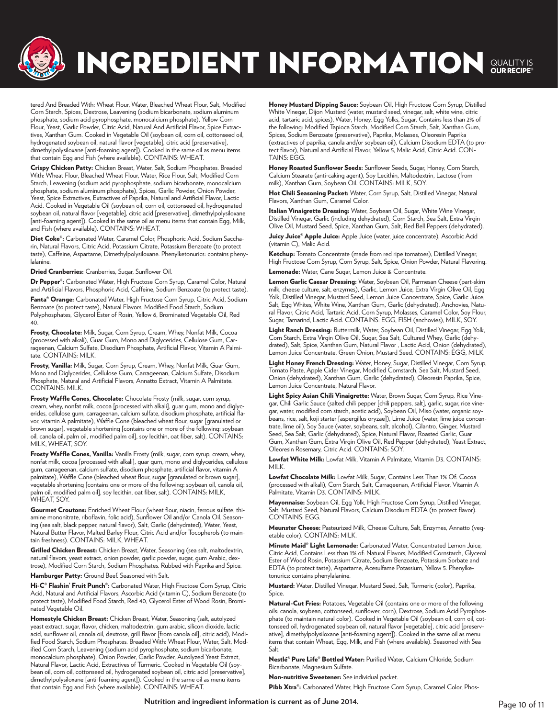

# INGREDIENT INFORMATION SUALITY IS

tered And Breaded With: Wheat Flour, Water, Bleached Wheat Flour, Salt, Modified Corn Starch, Spices, Dextrose, Leavening (sodium bicarbonate, sodium aluminum phosphate, sodium acid pyrophosphate, monocalcium phosphate), Yellow Corn Flour, Yeast, Garlic Powder, Citric Acid, Natural And Artificial Flavor, Spice Extractives, Xanthan Gum. Cooked in Vegetable Oil (soybean oil, corn oil, cottonseed oil, hydrogenated soybean oil, natural flavor [vegetable], citric acid [preservative], dimethylpolysiloxane [anti-foaming agent]). Cooked in the same oil as menu items that contain Egg and Fish (where available). CONTAINS: WHEAT.

Crispy Chicken Patty: Chicken Breast, Water, Salt, Sodium Phosphates. Breaded With: Wheat Flour, Bleached Wheat Flour, Water, Rice Flour, Salt, Modified Corn Starch, Leavening (sodium acid pyrophosphate, sodium bicarbonate, monocalcium phosphate, sodium aluminum phosphate), Spices, Garlic Powder, Onion Powder, Yeast, Spice Extractives, Extractives of Paprika, Natural and Artificial Flavor, Lactic Acid. Cooked in Vegetable Oil (soybean oil, corn oil, cottonseed oil, hydrogenated soybean oil, natural flavor [vegetable], citric acid [preservative], dimethylpolysiloxane [anti-foaming agent]). Cooked in the same oil as menu items that contain Egg, Milk, and Fish (where available). CONTAINS: WHEAT.

Diet Coke®: Carbonated Water, Caramel Color, Phosphoric Acid, Sodium Saccharin, Natural Flavors, Citric Acid, Potassium Citrate, Potassium Benzoate (to protect taste), Caffeine, Aspartame, Dimethylpolysiloxane. Phenylketonurics: contains phenylalanine.

Dried Cranberries: Cranberries, Sugar, Sunflower Oil.

Dr Pepper®: Carbonated Water, High Fructose Corn Syrup, Caramel Color, Natural and Artificial Flavors, Phosphoric Acid, Caffeine, Sodium Benzoate (to protect taste).

Fanta® Orange: Carbonated Water, High Fructose Corn Syrup, Citric Acid, Sodium Benzoate (to protect taste), Natural Flavors, Modified Food Starch, Sodium Polyphosphates, Glycerol Ester of Rosin, Yellow 6, Brominated Vegetable Oil, Red 40.

Frosty, Chocolate: Milk, Sugar, Corn Syrup, Cream, Whey, Nonfat Milk, Cocoa (processed with alkali), Guar Gum, Mono and Diglycerides, Cellulose Gum, Carrageenan, Calcium Sulfate, Disodium Phosphate, Artificial Flavor, Vitamin A Palmitate. CONTAINS: MILK.

Frosty, Vanilla: Milk, Sugar, Corn Syrup, Cream, Whey, Nonfat Milk, Guar Gum, Mono and Diglycerides, Cellulose Gum, Carrageenan, Calcium Sulfate, Disodium Phosphate, Natural and Artificial Flavors, Annatto Extract, Vitamin A Palmitate. CONTAINS: MILK.

Frosty Waffle Cones, Chocolate: Chocolate Frosty (milk, sugar, corn syrup, cream, whey, nonfat milk, cocoa [processed with alkali], guar gum, mono and diglycerides, cellulose gum, carrageenan, calcium sulfate, disodium phosphate, artificial flavor, vitamin A palmitate), Waffle Cone (bleached wheat flour, sugar [granulated or brown sugar], vegetable shortening [contains one or more of the following: soybean oil, canola oil, palm oil, modified palm oil], soy lecithin, oat fiber, salt). CONTAINS: MILK, WHEAT, SOY.

Frosty Waffle Cones, Vanilla: Vanilla Frosty (milk, sugar, corn syrup, cream, whey, nonfat milk, cocoa [processed with alkali], guar gum, mono and diglycerides, cellulose gum, carrageenan, calcium sulfate, disodium phosphate, artificial flavor, vitamin A palmitate), Waffle Cone (bleached wheat flour, sugar [granulated or brown sugar], vegetable shortening [contains one or more of the following: soybean oil, canola oil, palm oil, modified palm oil], soy lecithin, oat fiber, salt). CONTAINS: MILK, WHEAT, SOY.

Gourmet Croutons: Enriched Wheat Flour (wheat flour, niacin, ferrous sulfate, thiamine mononitrate, riboflavin, folic acid), Sunflower Oil and/or Canola Oil, Seasoning (sea salt, black pepper, natural flavor), Salt, Garlic (dehydrated), Water, Yeast, Natural Butter Flavor, Malted Barley Flour, Citric Acid and/or Tocopherols (to maintain freshness). CONTAINS: MILK, WHEAT.

Grilled Chicken Breast: Chicken Breast, Water, Seasoning (sea salt, maltodextrin, natural flavors, yeast extract, onion powder, garlic powder, sugar, gum Arabic, dextrose), Modified Corn Starch, Sodium Phosphates. Rubbed with Paprika and Spice.

Hamburger Patty: Ground Beef. Seasoned with Salt.

Hi-C<sup>®</sup> Flashin' Fruit Punch®: Carbonated Water, High Fructose Corn Syrup, Citric Acid, Natural and Artificial Flavors, Ascorbic Acid (vitamin C), Sodium Benzoate (to protect taste), Modified Food Starch, Red 40, Glycerol Ester of Wood Rosin, Brominated Vegetable Oil.

Homestyle Chicken Breast: Chicken Breast, Water, Seasoning (salt, autolyzed yeast extract, sugar, flavor, chicken, maltodextrin, gum arabic, silicon dioxide, lactic acid, sunflower oil, canola oil, dextrose, grill flavor [from canola oil], citric acid), Modified Food Starch, Sodium Phosphates. Breaded With: Wheat Flour, Water, Salt, Modified Corn Starch, Leavening (sodium acid pyrophosphate, sodium bicarbonate, monocalcium phosphate), Onion Powder, Garlic Powder, Autolyzed Yeast Extract, Natural Flavor, Lactic Acid, Extractives of Turmeric. Cooked in Vegetable Oil (soybean oil, corn oil, cottonseed oil, hydrogenated soybean oil, citric acid [preservative], dimethylpolysiloxane [anti-foaming agent]). Cooked in the same oil as menu items that contain Egg and Fish (where available). CONTAINS: WHEAT.

Honey Mustard Dipping Sauce: Soybean Oil, High Fructose Corn Syrup, Distilled White Vinegar, Dijon Mustard (water, mustard seed, vinegar, salt, white wine, citric acid, tartaric acid, spices), Water, Honey, Egg Yolks, Sugar, Contains less than 2% of the following: Modified Tapioca Starch, Modified Corn Starch, Salt, Xanthan Gum, Spices, Sodium Benzoate (preservative), Paprika, Molasses, Oleoresin Paprika (extractives of paprika, canola and/or soybean oil), Calcium Disodium EDTA (to protect flavor), Natural and Artificial Flavor, Yellow 5, Malic Acid, Citric Acid. CON-TAINS: EGG.

Honey Roasted Sunflower Seeds: Sunflower Seeds, Sugar, Honey, Corn Starch, Calcium Stearate (anti-caking agent), Soy Lecithin, Maltodextrin, Lactose (from milk), Xanthan Gum, Soybean Oil. CONTAINS: MILK, SOY.

Hot Chili Seasoning Packet: Water, Corn Syrup, Salt, Distilled Vinegar, Natural Flavors, Xanthan Gum, Caramel Color.

Italian Vinaigrette Dressing: Water, Soybean Oil, Sugar, White Wine Vinegar, Distilled Vinegar, Garlic (including dehydrated), Corn Starch, Sea Salt, Extra Virgin Olive Oil, Mustard Seed, Spice, Xanthan Gum, Salt, Red Bell Peppers (dehydrated).

Juicy Juice® Apple Juice: Apple Juice (water, juice concentrate), Ascorbic Acid (vitamin C), Malic Acid.

Ketchup: Tomato Concentrate (made from red ripe tomatoes), Distilled Vinegar, High Fructose Corn Syrup, Corn Syrup, Salt, Spice, Onion Powder, Natural Flavoring. Lemonade: Water, Cane Sugar, Lemon Juice & Concentrate.

Lemon Garlic Caesar Dressing: Water, Soybean Oil, Parmesan Cheese (part-skim milk, cheese culture, salt, enzymes), Garlic, Lemon Juice, Extra Virgin Olive Oil, Egg Yolk, Distilled Vinegar, Mustard Seed, Lemon Juice Concentrate, Spice, Garlic Juice, Salt, Egg Whites, White Wine, Xanthan Gum, Garlic (dehydrated), Anchovies, Natural Flavor, Citric Acid, Tartaric Acid, Corn Syrup, Molasses, Caramel Color, Soy Flour, Sugar, Tamarind, Lactic Acid. CONTAINS: EGG, FISH (anchovies), MILK, SOY.

Light Ranch Dressing: Buttermilk, Water, Soybean Oil, Distilled Vinegar, Egg Yolk, Corn Starch, Extra Virgin Olive Oil, Sugar, Sea Salt, Cultured Whey, Garlic (dehydrated), Salt, Spice, Xanthan Gum, Natural Flavor , Lactic Acid, Onion (dehydrated), Lemon Juice Concentrate, Green Onion, Mustard Seed. CONTAINS: EGG, MILK.

Light Honey French Dressing: Water, Honey, Sugar, Distilled Vinegar, Corn Syrup, Tomato Paste, Apple Cider Vinegar, Modified Cornstarch, Sea Salt, Mustard Seed, Onion (dehydrated), Xanthan Gum, Garlic (dehydrated), Oleoresin Paprika, Spice, Lemon Juice Concentrate, Natural Flavor.

Light Spicy Asian Chili Vinaigrette: Water, Brown Sugar, Corn Syrup, Rice Vinegar, Chili Garlic Sauce (salted chili pepper [chili peppers, salt], garlic, sugar, rice vinegar, water, modified corn starch, acetic acid), Soybean Oil, Miso (water, organic soybeans, rice, salt, koji starter [aspergillus oryzae]), Lime Juice (water, lime juice concentrate, lime oil), Soy Sauce (water, soybeans, salt, alcohol), Cilantro, Ginger, Mustard Seed, Sea Salt, Garlic (dehydrated), Spice, Natural Flavor, Roasted Garlic, Guar Gum, Xanthan Gum, Extra Virgin Olive Oil, Red Pepper (dehydrated), Yeast Extract, Oleoresin Rosemary, Citric Acid. CONTAINS: SOY.

Lowfat White Milk: Lowfat Milk, Vitamin A Palmitate, Vitamin D3. CONTAINS: MILK.

Lowfat Chocolate Milk: Lowfat Milk, Sugar, Contains Less Than 1% Of: Cocoa (processed with alkali), Corn Starch, Salt, Carrageenan, Artificial Flavor, Vitamin A Palmitate, Vitamin D3. CONTAINS: MILK.

Mayonnaise: Soybean Oil, Egg Yolk, High Fructose Corn Syrup, Distilled Vinegar, Salt, Mustard Seed, Natural Flavors, Calcium Disodium EDTA (to protect flavor). CONTAINS: EGG.

Meunster Cheese: Pasteurized Milk, Cheese Culture, Salt, Enzymes, Annatto (vegetable color). CONTAINS: MILK.

Minute Maid® Light Lemonade: Carbonated Water, Concentrated Lemon Juice, Citric Acid, Contains Less than 1% of: Natural Flavors, Modified Cornstarch, Glycerol Ester of Wood Rosin, Potassium Citrate, Sodium Benzoate, Potassium Sorbate and EDTA (to protect taste), Aspartame, Acesulfame Potassium, Yellow 5. Phenylketonurics: contains phenylalanine.

Mustard: Water, Distilled Vinegar, Mustard Seed, Salt, Turmeric (color), Paprika, Spice.

Natural-Cut Fries: Potatoes, Vegetable Oil (contains one or more of the following oils: canola, soybean, cottonseed, sunflower, corn), Dextrose, Sodium Acid Pyrophosphate (to maintain natural color). Cooked in Vegetable Oil (soybean oil, corn oil, cottonseed oil, hydrogenated soybean oil, natural flavor [vegetable], citric acid [preservative], dimethylpolysiloxane [anti-foaming agent]). Cooked in the same oil as menu items that contain Wheat, Egg, Milk, and Fish (where available). Seasoned with Sea Salt.

Nestlé® Pure Life® Bottled Water: Purified Water, Calcium Chloride, Sodium Bicarbonate, Magnesium Sulfate.

Non-nutritive Sweetener: See individual packet.

Pibb Xtra<sup>®</sup>: Carbonated Water, High Fructose Corn Syrup, Caramel Color, Phos-